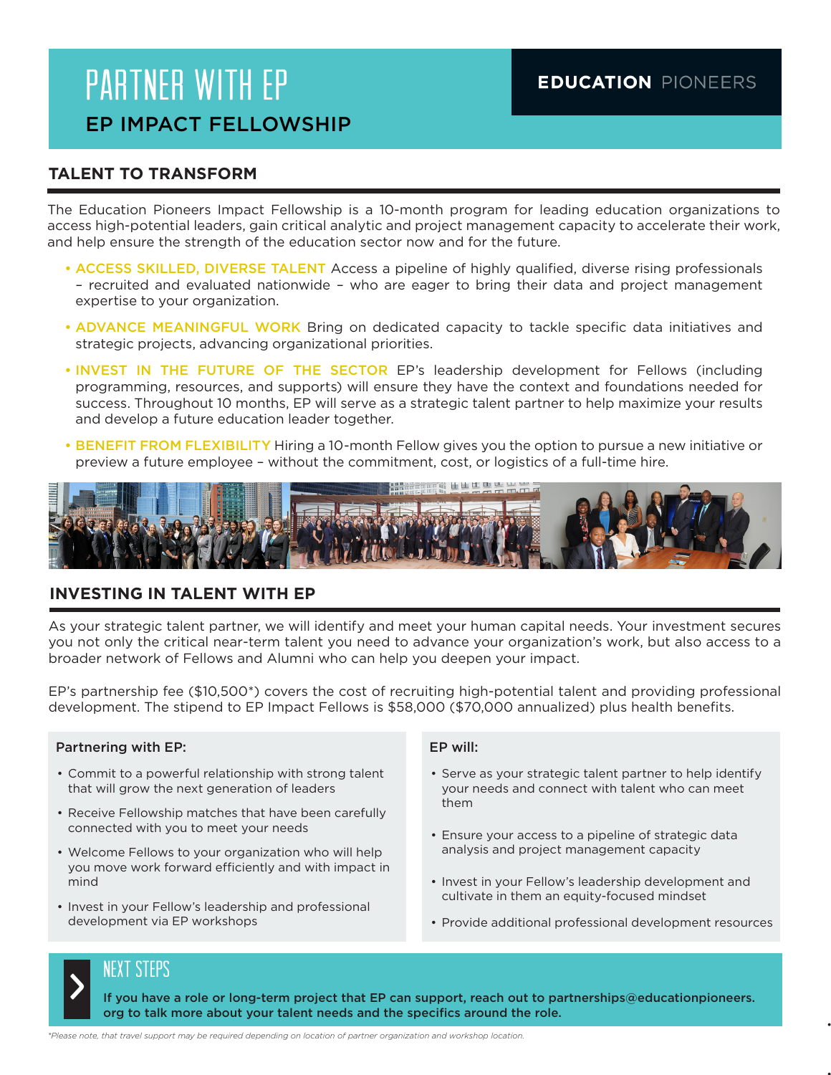# PARTNER WITH EP EP IMPACT FELLOWSHIP

## **TALENT TO TRANSFORM**

The Education Pioneers Impact Fellowship is a 10-month program for leading education organizations to access high-potential leaders, gain critical analytic and project management capacity to accelerate their work, and help ensure the strength of the education sector now and for the future.

- ACCESS SKILLED, DIVERSE TALENT Access a pipeline of highly qualified, diverse rising professionals – recruited and evaluated nationwide – who are eager to bring their data and project management expertise to your organization.
- ADVANCE MEANINGFUL WORK Bring on dedicated capacity to tackle specific data initiatives and strategic projects, advancing organizational priorities.
- INVEST IN THE FUTURE OF THE SECTOR EP's leadership development for Fellows (including programming, resources, and supports) will ensure they have the context and foundations needed for success. Throughout 10 months, EP will serve as a strategic talent partner to help maximize your results and develop a future education leader together.
- BENEFIT FROM FLEXIBILITY Hiring a 10-month Fellow gives you the option to pursue a new initiative or preview a future employee – without the commitment, cost, or logistics of a full-time hire.



### **INVESTING IN TALENT WITH EP**

As your strategic talent partner, we will identify and meet your human capital needs. Your investment secures you not only the critical near-term talent you need to advance your organization's work, but also access to a broader network of Fellows and Alumni who can help you deepen your impact.

EP's partnership fee (\$10,500\*) covers the cost of recruiting high-potential talent and providing professional development. The stipend to EP Impact Fellows is \$58,000 (\$70,000 annualized) plus health benefits.

#### Partnering with EP:

- Commit to a powerful relationship with strong talent that will grow the next generation of leaders
- Receive Fellowship matches that have been carefully connected with you to meet your needs
- Welcome Fellows to your organization who will help you move work forward efficiently and with impact in mind
- Invest in your Fellow's leadership and professional development via EP workshops

#### EP will:

- Serve as your strategic talent partner to help identify your needs and connect with talent who can meet them
- Ensure your access to a pipeline of strategic data analysis and project management capacity
- Invest in your Fellow's leadership development and cultivate in them an equity-focused mindset
- Provide additional professional development resources

•  $\blacksquare$ 

• Implement and launch new

### NEXT STEPS

><br>>

If you have a role or long-term project that EP can support, reach out to partnerships@educationpioneers. org to talk more about your talent needs and the specifics around the role.